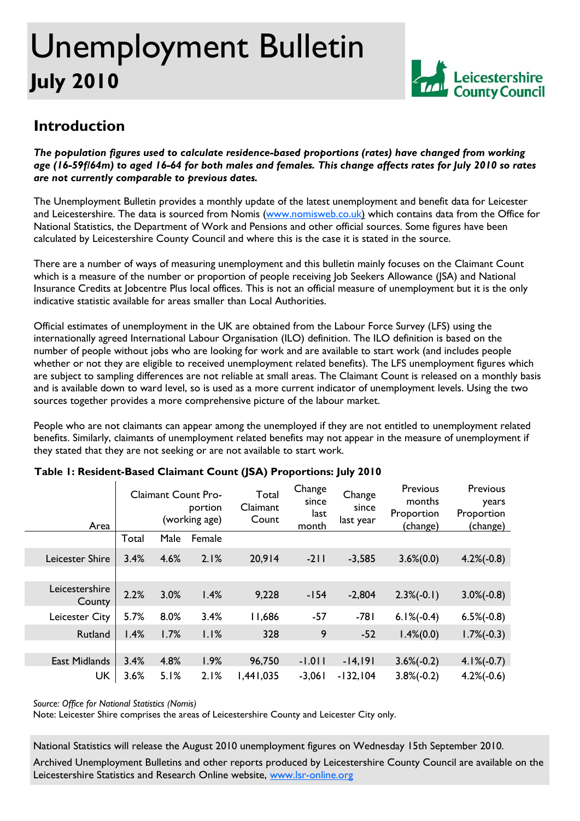# Unemployment Bulletin **July 2010**



## **Introduction**

*The population figures used to calculate residence-based proportions (rates) have changed from working age (16-59f/64m) to aged 16-64 for both males and females. This change affects rates for July 2010 so rates are not currently comparable to previous dates.* 

The Unemployment Bulletin provides a monthly update of the latest unemployment and benefit data for Leicester and Leicestershire. The data is sourced from Nomis (www.nomisweb.co.uk) which contains data from the Office for National Statistics, the Department of Work and Pensions and other official sources. Some figures have been calculated by Leicestershire County Council and where this is the case it is stated in the source.

There are a number of ways of measuring unemployment and this bulletin mainly focuses on the Claimant Count which is a measure of the number or proportion of people receiving Job Seekers Allowance (JSA) and National Insurance Credits at Jobcentre Plus local offices. This is not an official measure of unemployment but it is the only indicative statistic available for areas smaller than Local Authorities.

Official estimates of unemployment in the UK are obtained from the Labour Force Survey (LFS) using the internationally agreed International Labour Organisation (ILO) definition. The ILO definition is based on the number of people without jobs who are looking for work and are available to start work (and includes people whether or not they are eligible to received unemployment related benefits). The LFS unemployment figures which are subject to sampling differences are not reliable at small areas. The Claimant Count is released on a monthly basis and is available down to ward level, so is used as a more current indicator of unemployment levels. Using the two sources together provides a more comprehensive picture of the labour market.

People who are not claimants can appear among the unemployed if they are not entitled to unemployment related benefits. Similarly, claimants of unemployment related benefits may not appear in the measure of unemployment if they stated that they are not seeking or are not available to start work.

| Area                     | <b>Claimant Count Pro-</b><br>portion<br>(working age) |      | Total<br>Claimant<br>Count | Change<br>since<br>last<br>month | Change<br>since<br>last year | Previous<br>months<br>Proportion<br>(change) | Previous<br>years<br>Proportion<br>(change) |               |
|--------------------------|--------------------------------------------------------|------|----------------------------|----------------------------------|------------------------------|----------------------------------------------|---------------------------------------------|---------------|
|                          | Total                                                  | Male | Female                     |                                  |                              |                                              |                                             |               |
| <b>Leicester Shire</b>   | 3.4%                                                   | 4.6% | 2.1%                       | 20,914                           | $-211$                       | $-3,585$                                     | $3.6\%(0.0)$                                | $4.2\%(-0.8)$ |
|                          |                                                        |      |                            |                                  |                              |                                              |                                             |               |
| Leicestershire<br>County | 2.2%                                                   | 3.0% | 1.4%                       | 9,228                            | $-154$                       | $-2,804$                                     | $2.3\%(-0.1)$                               | $3.0\%(-0.8)$ |
| Leicester City           | 5.7%                                                   | 8.0% | 3.4%                       | 11,686                           | $-57$                        | $-781$                                       | $6.1\%(-0.4)$                               | $6.5\%(-0.8)$ |
| Rutland                  | 1.4%                                                   | 1.7% | 1.1%                       | 328                              | 9                            | $-52$                                        | $1.4\%(0.0)$                                | $1.7\%(-0.3)$ |
|                          |                                                        |      |                            |                                  |                              |                                              |                                             |               |
| <b>East Midlands</b>     | 3.4%                                                   | 4.8% | 1.9%                       | 96,750                           | $-1.011$                     | $-14,191$                                    | $3.6\%(-0.2)$                               | $4.1\%(-0.7)$ |
| <b>UK</b>                | 3.6%                                                   | 5.1% | 2.1%                       | 1,441,035                        | $-3,061$                     | $-132, 104$                                  | $3.8\%(-0.2)$                               | $4.2\%(-0.6)$ |

### **Table 1: Resident-Based Claimant Count (JSA) Proportions: July 2010**

*Source: Office for National Statistics (Nomis)* 

Note: Leicester Shire comprises the areas of Leicestershire County and Leicester City only.

National Statistics will release the August 2010 unemployment figures on Wednesday 15th September 2010.

Archived Unemployment Bulletins and other reports produced by Leicestershire County Council are available on the Leicestershire Statistics and Research Online website, www.lsr-online.org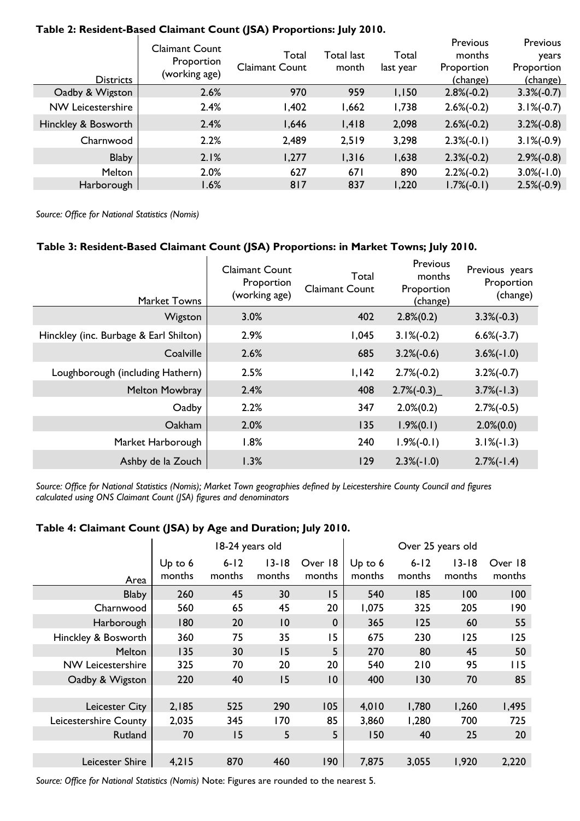| <b>Districts</b>         | <b>Claimant Count</b><br>Proportion<br>(working age) | Total<br><b>Claimant Count</b> | Total last<br>month | Total<br>last year | Previous<br>months<br>Proportion<br>(change) | <b>Previous</b><br>years<br>Proportion<br>(change) |
|--------------------------|------------------------------------------------------|--------------------------------|---------------------|--------------------|----------------------------------------------|----------------------------------------------------|
| Oadby & Wigston          | 2.6%                                                 | 970                            | 959                 | 1,150              | $2.8\%(-0.2)$                                | $3.3\%(-0.7)$                                      |
| <b>NW Leicestershire</b> | 2.4%                                                 | l,402                          | 1,662               | 1,738              | $2.6\%(-0.2)$                                | $3.1\%(-0.7)$                                      |
| Hinckley & Bosworth      | 2.4%                                                 | 1,646                          | 1,418               | 2,098              | $2.6\%(-0.2)$                                | $3.2\%(-0.8)$                                      |
| Charnwood                | 2.2%                                                 | 2,489                          | 2,519               | 3,298              | $2.3\%(-0.1)$                                | $3.1\%(-0.9)$                                      |
| <b>Blaby</b>             | 2.1%                                                 | 1,277                          | 1,316               | 1,638              | $2.3\%(-0.2)$                                | $2.9\%(-0.8)$                                      |
| Melton                   | 2.0%                                                 | 627                            | 671                 | 890                | $2.2\%(-0.2)$                                | $3.0\%(-1.0)$                                      |
| Harborough               | 1.6%                                                 | 817                            | 837                 | 1,220              | $1.7\%(-0.1)$                                | $2.5\%(-0.9)$                                      |

#### **Table 2: Resident-Based Claimant Count (JSA) Proportions: July 2010.**

*Source: Office for National Statistics (Nomis)* 

#### **Table 3: Resident-Based Claimant Count (JSA) Proportions: in Market Towns; July 2010.**

| Market Towns                           | <b>Claimant Count</b><br>Proportion<br>(working age) | Total<br><b>Claimant Count</b> | Previous<br>months<br>Proportion<br>(change) | Previous years<br>Proportion<br>(change) |
|----------------------------------------|------------------------------------------------------|--------------------------------|----------------------------------------------|------------------------------------------|
| Wigston                                | 3.0%                                                 | 402                            | $2.8\%(0.2)$                                 | $3.3\%(-0.3)$                            |
| Hinckley (inc. Burbage & Earl Shilton) | 2.9%                                                 | 1,045                          | $3.1\%(-0.2)$                                | $6.6\%(-3.7)$                            |
| Coalville                              | 2.6%                                                 | 685                            | $3.2\%(-0.6)$                                | $3.6\%(-1.0)$                            |
| Loughborough (including Hathern)       | 2.5%                                                 | 1,142                          | $2.7\%(-0.2)$                                | $3.2\%(-0.7)$                            |
| <b>Melton Mowbray</b>                  | 2.4%                                                 | 408                            | $2.7\%(-0.3)$                                | $3.7\%(-1.3)$                            |
| Oadby                                  | 2.2%                                                 | 347                            | $2.0\%(0.2)$                                 | $2.7\%(-0.5)$                            |
| Oakham                                 | 2.0%                                                 | 135                            | $1.9\%(0.1)$                                 | $2.0\%(0.0)$                             |
| Market Harborough                      | 1.8%                                                 | 240                            | $1.9\%(-0.1)$                                | $3.1\%(-1.3)$                            |
| Ashby de la Zouch                      | 1.3%                                                 | 129                            | $2.3\%(-1.0)$                                | $2.7\%(-1.4)$                            |

*Source: Office for National Statistics (Nomis); Market Town geographies defined by Leicestershire County Council and figures calculated using ONS Claimant Count (JSA) figures and denominators* 

#### **Table 4: Claimant Count (JSA) by Age and Duration; July 2010.**

|                          |                     |                    | 18-24 years old     |                   |                   | Over 25 years old  |                     |                   |
|--------------------------|---------------------|--------------------|---------------------|-------------------|-------------------|--------------------|---------------------|-------------------|
| Area                     | Up to $6$<br>months | $6 - 12$<br>months | $13 - 18$<br>months | Over 18<br>months | Up to 6<br>months | $6 - 12$<br>months | $13 - 18$<br>months | Over 18<br>months |
| <b>Blaby</b>             | 260                 | 45                 | 30                  | 15                | 540               | 185                | 100                 | 100               |
| Charnwood                | 560                 | 65                 | 45                  | 20                | 1,075             | 325                | 205                 | 190               |
| Harborough               | 180                 | 20                 | 10                  | $\boldsymbol{0}$  | 365               | 125                | 60                  | 55                |
| Hinckley & Bosworth      | 360                 | 75                 | 35                  | 15                | 675               | 230                | 125                 | 125               |
| Melton                   | 135                 | 30                 | 15                  | 5                 | 270               | 80                 | 45                  | 50                |
| <b>NW Leicestershire</b> | 325                 | 70                 | 20                  | 20                | 540               | 210                | 95                  | 115               |
| Oadby & Wigston          | 220                 | 40                 | 15                  | $\overline{10}$   | 400               | 130                | 70                  | 85                |
|                          |                     |                    |                     |                   |                   |                    |                     |                   |
| Leicester City           | 2,185               | 525                | 290                 | 105               | 4,010             | 1,780              | 1,260               | 1,495             |
| Leicestershire County    | 2,035               | 345                | 170                 | 85                | 3,860             | 1,280              | 700                 | 725               |
| Rutland                  | 70                  | 15                 | 5                   | 5                 | 150               | 40                 | 25                  | 20                |
|                          |                     |                    |                     |                   |                   |                    |                     |                   |
| Leicester Shire          | 4,215               | 870                | 460                 | 190               | 7,875             | 3,055              | 1,920               | 2,220             |

*Source: Office for National Statistics (Nomis)* Note: Figures are rounded to the nearest 5.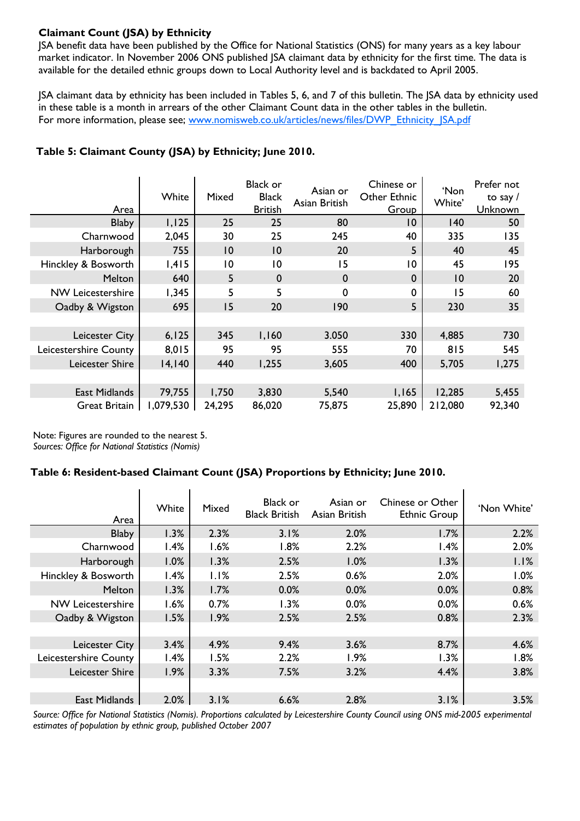### **Claimant Count (JSA) by Ethnicity**

JSA benefit data have been published by the Office for National Statistics (ONS) for many years as a key labour market indicator. In November 2006 ONS published JSA claimant data by ethnicity for the first time. The data is available for the detailed ethnic groups down to Local Authority level and is backdated to April 2005.

JSA claimant data by ethnicity has been included in Tables 5, 6, and 7 of this bulletin. The JSA data by ethnicity used in these table is a month in arrears of the other Claimant Count data in the other tables in the bulletin. For more information, please see; www.nomisweb.co.uk/articles/news/files/DWP\_Ethnicity\_JSA.pdf

| Area                     | White     | Mixed          | <b>Black or</b><br><b>Black</b><br><b>British</b> | Asian or<br>Asian British | Chinese or<br>Other Ethnic<br>Group | 'Non<br>White' | Prefer not<br>to say $/$<br>Unknown |
|--------------------------|-----------|----------------|---------------------------------------------------|---------------------------|-------------------------------------|----------------|-------------------------------------|
| <b>Blaby</b>             | 1,125     | 25             | 25                                                | 80                        | 10                                  | $ 40\rangle$   | 50                                  |
| Charnwood                | 2,045     | 30             | 25                                                | 245                       | 40                                  | 335            | 135                                 |
| Harborough               | 755       | $ 0\rangle$    | $\overline{10}$                                   | 20                        | 5                                   | 40             | 45                                  |
| Hinckley & Bosworth      | 1,415     | $\overline{0}$ | $\overline{10}$                                   | 15                        | 10                                  | 45             | 195                                 |
| Melton                   | 640       | 5              | $\mathbf 0$                                       | $\mathbf 0$               | $\boldsymbol{0}$                    | 10             | 20                                  |
| <b>NW Leicestershire</b> | 1,345     | 5              | 5                                                 | 0                         | 0                                   | 15             | 60                                  |
| Oadby & Wigston          | 695       | 15             | 20                                                | 190                       | 5                                   | 230            | 35                                  |
|                          |           |                |                                                   |                           |                                     |                |                                     |
| Leicester City           | 6, 125    | 345            | 1,160                                             | 3.050                     | 330                                 | 4,885          | 730                                 |
| Leicestershire County    | 8,015     | 95             | 95                                                | 555                       | 70                                  | 815            | 545                                 |
| Leicester Shire          | 14,140    | 440            | 1,255                                             | 3,605                     | 400                                 | 5,705          | 1,275                               |
|                          |           |                |                                                   |                           |                                     |                |                                     |
| East Midlands            | 79,755    | 1,750          | 3,830                                             | 5,540                     | 1,165                               | 12,285         | 5,455                               |
| Great Britain            | 1,079,530 | 24,295         | 86,020                                            | 75,875                    | 25,890                              | 212,080        | 92,340                              |

### **Table 5: Claimant County (JSA) by Ethnicity; June 2010.**

Note: Figures are rounded to the nearest 5. *Sources: Office for National Statistics (Nomis)* 

### **Table 6: Resident-based Claimant Count (JSA) Proportions by Ethnicity; June 2010.**

| Area                     | White | Mixed | Black or<br><b>Black British</b> | Asian or<br>Asian British | Chinese or Other<br><b>Ethnic Group</b> | 'Non White' |
|--------------------------|-------|-------|----------------------------------|---------------------------|-----------------------------------------|-------------|
| <b>Blaby</b>             | 1.3%  | 2.3%  | 3.1%                             | 2.0%                      | 1.7%                                    | 2.2%        |
| Charnwood                | 1.4%  | 1.6%  | 1.8%                             | 2.2%                      | 1.4%                                    | 2.0%        |
| Harborough               | 1.0%  | 1.3%  | 2.5%                             | 1.0%                      | 1.3%                                    | 1.1%        |
| Hinckley & Bosworth      | 1.4%  | 1.1%  | 2.5%                             | 0.6%                      | 2.0%                                    | 1.0%        |
| <b>Melton</b>            | 1.3%  | 1.7%  | 0.0%                             | 0.0%                      | 0.0%                                    | 0.8%        |
| <b>NW Leicestershire</b> | 1.6%  | 0.7%  | 1.3%                             | 0.0%                      | 0.0%                                    | 0.6%        |
| Oadby & Wigston          | 1.5%  | 1.9%  | 2.5%                             | 2.5%                      | 0.8%                                    | 2.3%        |
|                          |       |       |                                  |                           |                                         |             |
| Leicester City           | 3.4%  | 4.9%  | 9.4%                             | 3.6%                      | 8.7%                                    | 4.6%        |
| Leicestershire County    | 1.4%  | 1.5%  | 2.2%                             | 1.9%                      | 1.3%                                    | 1.8%        |
| Leicester Shire          | 1.9%  | 3.3%  | 7.5%                             | 3.2%                      | 4.4%                                    | 3.8%        |
|                          |       |       |                                  |                           |                                         |             |
| <b>East Midlands</b>     | 2.0%  | 3.1%  | 6.6%                             | 2.8%                      | 3.1%                                    | 3.5%        |

*Source: Office for National Statistics (Nomis). Proportions calculated by Leicestershire County Council using ONS mid-2005 experimental estimates of population by ethnic group, published October 2007*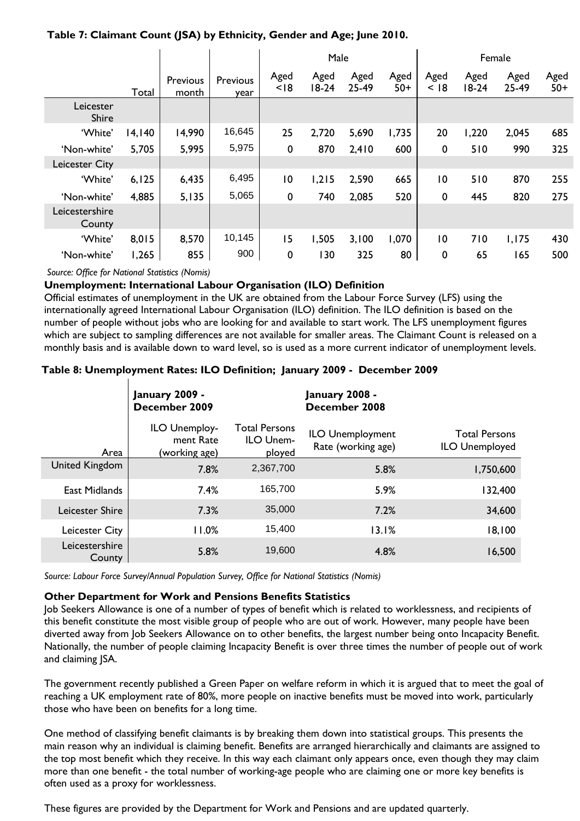| Table 7: Claimant Count (JSA) by Ethnicity, Gender and Age; June 2010. |
|------------------------------------------------------------------------|
|------------------------------------------------------------------------|

|                          |        |                   |                  | Male           |                 |               |               | Female          |                 |               |               |
|--------------------------|--------|-------------------|------------------|----------------|-----------------|---------------|---------------|-----------------|-----------------|---------------|---------------|
|                          | Total  | Previous<br>month | Previous<br>year | Aged<br>< 18   | Aged<br>$18-24$ | Aged<br>25-49 | Aged<br>$50+$ | Aged<br>< 18    | Aged<br>$18-24$ | Aged<br>25-49 | Aged<br>$50+$ |
| Leicester<br>Shire       |        |                   |                  |                |                 |               |               |                 |                 |               |               |
| 'White'                  | 14,140 | 14,990            | 16,645           | 25             | 2,720           | 5,690         | 1,735         | 20              | 1,220           | 2,045         | 685           |
| 'Non-white'              | 5,705  | 5,995             | 5,975            | 0              | 870             | 2,410         | 600           | 0               | 510             | 990           | 325           |
| <b>Leicester City</b>    |        |                   |                  |                |                 |               |               |                 |                 |               |               |
| 'White'                  | 6, 125 | 6,435             | 6,495            | $\overline{0}$ | 1,215           | 2,590         | 665           | $\overline{10}$ | 510             | 870           | 255           |
| 'Non-white'              | 4,885  | 5,135             | 5,065            | 0              | 740             | 2,085         | 520           | 0               | 445             | 820           | 275           |
| Leicestershire<br>County |        |                   |                  |                |                 |               |               |                 |                 |               |               |
| 'White'                  | 8,015  | 8,570             | 10,145           | 15             | 1,505           | 3,100         | 1,070         | $\overline{10}$ | 710             | 1,175         | 430           |
| 'Non-white'              | 1,265  | 855               | 900              | $\mathbf 0$    | 130             | 325           | 80            | 0               | 65              | 165           | 500           |

*Source: Office for National Statistics (Nomis)* 

#### **Unemployment: International Labour Organisation (ILO) Definition**

Official estimates of unemployment in the UK are obtained from the Labour Force Survey (LFS) using the internationally agreed International Labour Organisation (ILO) definition. The ILO definition is based on the number of people without jobs who are looking for and available to start work. The LFS unemployment figures which are subject to sampling differences are not available for smaller areas. The Claimant Count is released on a monthly basis and is available down to ward level, so is used as a more current indicator of unemployment levels.

#### **Table 8: Unemployment Rates: ILO Definition; January 2009 - December 2009**

|                          | January 2009 -<br>December 2009             |                                             | <b>January 2008 -</b><br>December 2008 |                                               |  |  |  |
|--------------------------|---------------------------------------------|---------------------------------------------|----------------------------------------|-----------------------------------------------|--|--|--|
| Area                     | ILO Unemploy-<br>ment Rate<br>(working age) | <b>Total Persons</b><br>ILO Unem-<br>ployed | ILO Unemployment<br>Rate (working age) | <b>Total Persons</b><br><b>ILO Unemployed</b> |  |  |  |
| United Kingdom           | 7.8%                                        | 2,367,700                                   | 5.8%                                   | 1,750,600                                     |  |  |  |
| East Midlands            | 7.4%                                        | 165,700                                     | 5.9%                                   | 132,400                                       |  |  |  |
| Leicester Shire          | 7.3%                                        | 35,000                                      | 7.2%                                   | 34,600                                        |  |  |  |
| Leicester City           | $11.0\%$                                    | 15.400                                      | 13.1%                                  | 18,100                                        |  |  |  |
| Leicestershire<br>County | 5.8%                                        | 19,600                                      | 4.8%                                   | 16,500                                        |  |  |  |

*Source: Labour Force Survey/Annual Population Survey, Office for National Statistics (Nomis)* 

#### **Other Department for Work and Pensions Benefits Statistics**

Job Seekers Allowance is one of a number of types of benefit which is related to worklessness, and recipients of this benefit constitute the most visible group of people who are out of work. However, many people have been diverted away from Job Seekers Allowance on to other benefits, the largest number being onto Incapacity Benefit. Nationally, the number of people claiming Incapacity Benefit is over three times the number of people out of work and claiming JSA.

The government recently published a Green Paper on welfare reform in which it is argued that to meet the goal of reaching a UK employment rate of 80%, more people on inactive benefits must be moved into work, particularly those who have been on benefits for a long time.

One method of classifying benefit claimants is by breaking them down into statistical groups. This presents the main reason why an individual is claiming benefit. Benefits are arranged hierarchically and claimants are assigned to the top most benefit which they receive. In this way each claimant only appears once, even though they may claim more than one benefit - the total number of working-age people who are claiming one or more key benefits is often used as a proxy for worklessness.

These figures are provided by the Department for Work and Pensions and are updated quarterly.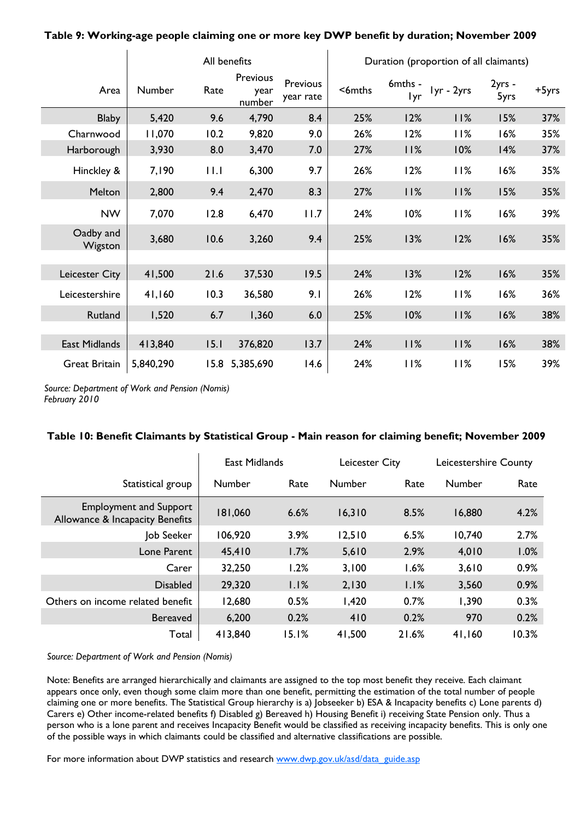|                      |           |      | All benefits               | Duration (proportion of all claimants) |          |                       |            |                |       |
|----------------------|-----------|------|----------------------------|----------------------------------------|----------|-----------------------|------------|----------------|-------|
| Area                 | Number    | Rate | Previous<br>year<br>number | Previous<br>year rate                  | $6$ mths | 6mths -<br><b>lyr</b> | lyr - 2yrs | 2yrs -<br>5yrs | +5yrs |
| <b>Blaby</b>         | 5,420     | 9.6  | 4,790                      | 8.4                                    | 25%      | 12%                   | 11%        | 15%            | 37%   |
| Charnwood            | 11,070    | 10.2 | 9,820                      | 9.0                                    | 26%      | 12%                   | 11%        | 16%            | 35%   |
| Harborough           | 3,930     | 8.0  | 3,470                      | 7.0                                    | 27%      | 11%                   | 10%        | 14%            | 37%   |
| Hinckley &           | 7,190     | 11.1 | 6,300                      | 9.7                                    | 26%      | 12%                   | 11%        | 16%            | 35%   |
| Melton               | 2,800     | 9.4  | 2,470                      | 8.3                                    | 27%      | 11%                   | 11%        | 15%            | 35%   |
| <b>NW</b>            | 7,070     | 12.8 | 6,470                      | 11.7                                   | 24%      | 10%                   | 11%        | 16%            | 39%   |
| Oadby and<br>Wigston | 3,680     | 10.6 | 3,260                      | 9.4                                    | 25%      | 13%                   | 12%        | 16%            | 35%   |
|                      |           |      |                            |                                        |          |                       |            |                |       |
| Leicester City       | 41,500    | 21.6 | 37,530                     | 19.5                                   | 24%      | 13%                   | 12%        | 16%            | 35%   |
| Leicestershire       | 41,160    | 10.3 | 36,580                     | 9.1                                    | 26%      | 12%                   | 11%        | 16%            | 36%   |
| Rutland              | 1,520     | 6.7  | 1,360                      | 6.0                                    | 25%      | 10%                   | 11%        | 16%            | 38%   |
|                      |           |      |                            |                                        |          |                       |            |                |       |
| East Midlands        | 413,840   | 15.1 | 376,820                    | 13.7                                   | 24%      | 11%                   | 11%        | 16%            | 38%   |
| <b>Great Britain</b> | 5,840,290 | 15.8 | 5,385,690                  | 14.6                                   | 24%      | 11%                   | 11%        | 15%            | 39%   |

**Table 9: Working-age people claiming one or more key DWP benefit by duration; November 2009** 

*Source: Department of Work and Pension (Nomis) February 2010* 

 $\mathbf{I}$ 

#### **Table 10: Benefit Claimants by Statistical Group - Main reason for claiming benefit; November 2009**

|                                                                  | <b>East Midlands</b> |       | Leicester City |       | Leicestershire County |       |
|------------------------------------------------------------------|----------------------|-------|----------------|-------|-----------------------|-------|
| Statistical group                                                | Number               | Rate  | Number         | Rate  | Number                | Rate  |
| <b>Employment and Support</b><br>Allowance & Incapacity Benefits | 181,060              | 6.6%  | 16,310         | 8.5%  | 16,880                | 4.2%  |
| Job Seeker                                                       | 06,920               | 3.9%  | 12,510         | 6.5%  | 10,740                | 2.7%  |
| Lone Parent                                                      | 45,410               | 1.7%  | 5,610          | 2.9%  | 4,010                 | 1.0%  |
| Carer                                                            | 32,250               | 1.2%  | 3,100          | 1.6%  | 3,610                 | 0.9%  |
| <b>Disabled</b>                                                  | 29,320               | 1.1%  | 2,130          | 1.1%  | 3,560                 | 0.9%  |
| Others on income related benefit                                 | 12,680               | 0.5%  | 1,420          | 0.7%  | 1,390                 | 0.3%  |
| <b>Bereaved</b>                                                  | 6,200                | 0.2%  | 410            | 0.2%  | 970                   | 0.2%  |
| Total                                                            | 413,840              | 15.1% | 41,500         | 21.6% | 41,160                | 10.3% |

*Source: Department of Work and Pension (Nomis)* 

Note: Benefits are arranged hierarchically and claimants are assigned to the top most benefit they receive. Each claimant appears once only, even though some claim more than one benefit, permitting the estimation of the total number of people claiming one or more benefits. The Statistical Group hierarchy is a) Jobseeker b) ESA & Incapacity benefits c) Lone parents d) Carers e) Other income-related benefits f) Disabled g) Bereaved h) Housing Benefit i) receiving State Pension only. Thus a person who is a lone parent and receives Incapacity Benefit would be classified as receiving incapacity benefits. This is only one of the possible ways in which claimants could be classified and alternative classifications are possible.

For more information about DWP statistics and research www.dwp.gov.uk/asd/data\_guide.asp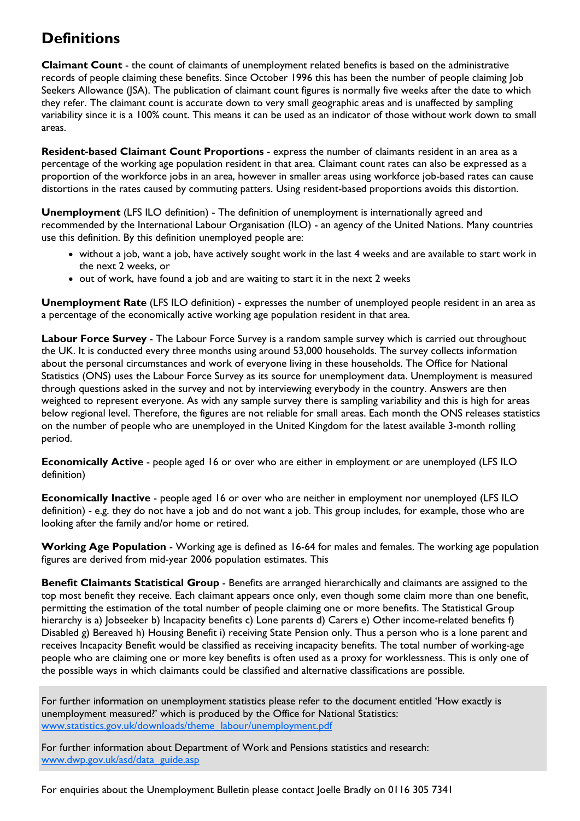# **Definitions**

**Claimant Count** - the count of claimants of unemployment related benefits is based on the administrative records of people claiming these benefits. Since October 1996 this has been the number of people claiming Job Seekers Allowance (JSA). The publication of claimant count figures is normally five weeks after the date to which they refer. The claimant count is accurate down to very small geographic areas and is unaffected by sampling variability since it is a 100% count. This means it can be used as an indicator of those without work down to small areas.

**Resident-based Claimant Count Proportions** - express the number of claimants resident in an area as a percentage of the working age population resident in that area. Claimant count rates can also be expressed as a proportion of the workforce jobs in an area, however in smaller areas using workforce job-based rates can cause distortions in the rates caused by commuting patters. Using resident-based proportions avoids this distortion.

**Unemployment** (LFS ILO definition) - The definition of unemployment is internationally agreed and recommended by the International Labour Organisation (ILO) - an agency of the United Nations. Many countries use this definition. By this definition unemployed people are:

- without a job, want a job, have actively sought work in the last 4 weeks and are available to start work in the next 2 weeks, or
- out of work, have found a job and are waiting to start it in the next 2 weeks

**Unemployment Rate** (LFS ILO definition) - expresses the number of unemployed people resident in an area as a percentage of the economically active working age population resident in that area.

**Labour Force Survey** - The Labour Force Survey is a random sample survey which is carried out throughout the UK. It is conducted every three months using around 53,000 households. The survey collects information about the personal circumstances and work of everyone living in these households. The Office for National Statistics (ONS) uses the Labour Force Survey as its source for unemployment data. Unemployment is measured through questions asked in the survey and not by interviewing everybody in the country. Answers are then weighted to represent everyone. As with any sample survey there is sampling variability and this is high for areas below regional level. Therefore, the figures are not reliable for small areas. Each month the ONS releases statistics on the number of people who are unemployed in the United Kingdom for the latest available 3-month rolling period.

**Economically Active** - people aged 16 or over who are either in employment or are unemployed (LFS ILO definition)

**Economically Inactive** - people aged 16 or over who are neither in employment nor unemployed (LFS ILO definition) - e.g. they do not have a job and do not want a job. This group includes, for example, those who are looking after the family and/or home or retired.

**Working Age Population** - Working age is defined as 16-64 for males and females. The working age population figures are derived from mid-year 2006 population estimates. This

**Benefit Claimants Statistical Group** - Benefits are arranged hierarchically and claimants are assigned to the top most benefit they receive. Each claimant appears once only, even though some claim more than one benefit, permitting the estimation of the total number of people claiming one or more benefits. The Statistical Group hierarchy is a) Jobseeker b) Incapacity benefits c) Lone parents d) Carers e) Other income-related benefits f) Disabled g) Bereaved h) Housing Benefit i) receiving State Pension only. Thus a person who is a lone parent and receives Incapacity Benefit would be classified as receiving incapacity benefits. The total number of working-age people who are claiming one or more key benefits is often used as a proxy for worklessness. This is only one of the possible ways in which claimants could be classified and alternative classifications are possible.

For further information on unemployment statistics please refer to the document entitled 'How exactly is unemployment measured?' which is produced by the Office for National Statistics: www.statistics.gov.uk/downloads/theme\_labour/unemployment.pdf

For further information about Department of Work and Pensions statistics and research: www.dwp.gov.uk/asd/data\_guide.asp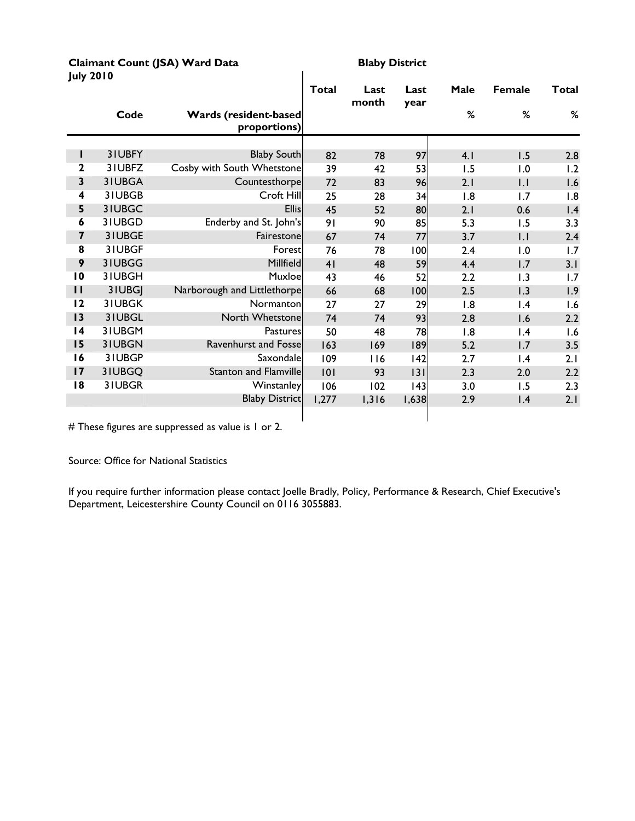#### **Claimant Count (JSA) Ward Data** Blaby District<br> **Blaby District July 2010**

|                         |        |                                              | <b>Total</b> | Last<br>month | Last<br>year | Male | <b>Female</b>   | <b>Total</b> |
|-------------------------|--------|----------------------------------------------|--------------|---------------|--------------|------|-----------------|--------------|
|                         | Code   | <b>Wards (resident-based</b><br>proportions) |              |               |              | %    | %               | %            |
|                         |        |                                              |              |               |              |      |                 |              |
| L                       | 31UBFY | <b>Blaby South</b>                           | 82           | 78            | 97           | 4.1  | 1.5             | 2.8          |
| $\mathbf{2}$            | 3IUBFZ | Cosby with South Whetstone                   | 39           | 42            | 53           | 1.5  | 1.0             | 1.2          |
| $\overline{\mathbf{3}}$ | 31UBGA | Countesthorpe                                | 72           | 83            | 96           | 2.1  | $  \cdot  $     | 1.6          |
| $\overline{\mathbf{4}}$ | 31UBGB | Croft Hill                                   | 25           | 28            | 34           | 1.8  | 1.7             | 1.8          |
| 5                       | 31UBGC | <b>Ellis</b>                                 | 45           | 52            | 80           | 2.1  | 0.6             | 1.4          |
| 6                       | 31UBGD | Enderby and St. John's                       | 91           | 90            | 85           | 5.3  | 1.5             | 3.3          |
| $\overline{\mathbf{z}}$ | 31UBGE | Fairestone                                   | 67           | 74            | 77           | 3.7  | $  \cdot  $     | 2.4          |
| $\overline{\mathbf{8}}$ | 31UBGF | Forest                                       | 76           | 78            | 100          | 2.4  | 1.0             | 1.7          |
| 9                       | 31UBGG | Millfield                                    | 41           | 48            | 59           | 4.4  | 1.7             | 3.1          |
| $\overline{10}$         | 31UBGH | Muxloel                                      | 43           | 46            | 52           | 2.2  | 1.3             | 1.7          |
| $\mathbf{I}$            | 3IUBGJ | Narborough and Littlethorpe                  | 66           | 68            | 100          | 2.5  | 1.3             | 1.9          |
| 12                      | 31UBGK | Normanton                                    | 27           | 27            | 29           | 1.8  | $\mathsf{I}$ .4 | 1.6          |
| 13                      | 31UBGL | North Whetstone                              | 74           | 74            | 93           | 2.8  | 1.6             | 2.2          |
| 4                       | 31UBGM | Pastures                                     | 50           | 48            | 78           | 1.8  | $\mathsf{I}$ .4 | 1.6          |
| 15                      | 31UBGN | <b>Ravenhurst and Fosse</b>                  | 163          | 169           | 189          | 5.2  | 1.7             | 3.5          |
| 16                      | 31UBGP | Saxondale                                    | 109          | 116           | 42           | 2.7  | 1.4             | 2.1          |
| 17                      | 31UBGQ | <b>Stanton and Flamville</b>                 | 101          | 93            | 3            | 2.3  | 2.0             | 2.2          |
| 18                      | 31UBGR | Winstanley                                   | 106          | 102           | 43           | 3.0  | 1.5             | 2.3          |
|                         |        | <b>Blaby District</b>                        | 1,277        | 1,316         | 1,638        | 2.9  | 1.4             | 2.1          |
|                         |        |                                              |              |               |              |      |                 |              |

# These figures are suppressed as value is 1 or 2.

Source: Office for National Statistics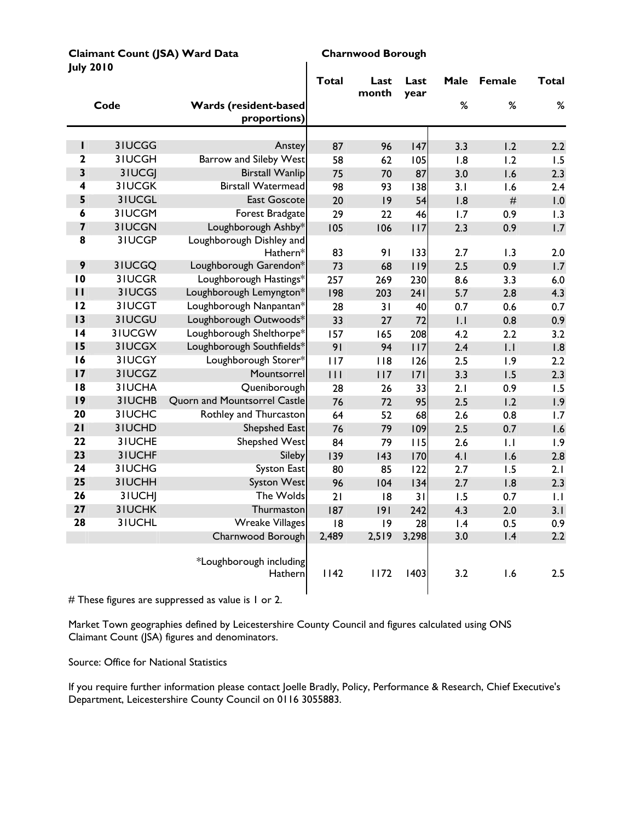| july zviv               |               |                                              | <b>Total</b> | Last<br>month | Last<br>year | Male | <b>Female</b>    | <b>Total</b> |
|-------------------------|---------------|----------------------------------------------|--------------|---------------|--------------|------|------------------|--------------|
|                         | Code          | <b>Wards (resident-based</b><br>proportions) |              |               |              | $\%$ | $\%$             | $\%$         |
|                         |               |                                              |              |               |              |      |                  |              |
| ı                       | 3IUCGG        | Anstey                                       | 87           | 96            | 147          | 3.3  | 1.2              | 2.2          |
| $\overline{2}$          | 3IUCGH        | <b>Barrow and Sileby West</b>                | 58           | 62            | 105          | 1.8  | 1.2              | 1.5          |
| $\overline{\mathbf{3}}$ | 3IUCGJ        | <b>Birstall Wanlip</b>                       | 75           | 70            | 87           | 3.0  | 1.6              | 2.3          |
| 4                       | <b>3IUCGK</b> | <b>Birstall Watermead</b>                    | 98           | 93            | 138          | 3.1  | 1.6              | 2.4          |
| 5                       | 3IUCGL        | <b>East Goscote</b>                          | 20           | 9             | 54           | 1.8  | $\#$             | 1.0          |
| $\boldsymbol{6}$        | 3IUCGM        | Forest Bradgate                              | 29           | 22            | 46           | 1.7  | 0.9              | 1.3          |
| $\overline{\mathbf{z}}$ | 31UCGN        | Loughborough Ashby*                          | 105          | 106           | 117          | 2.3  | 0.9              | 1.7          |
| 8                       | 3IUCGP        | Loughborough Dishley and<br>Hathern*         | 83           | 91            | 133          | 2.7  | 1.3              | 2.0          |
| 9                       | 3IUCGQ        | Loughborough Garendon*                       | 73           | 68            | 119          | 2.5  | 0.9              | 1.7          |
| $\overline{10}$         | 3IUCGR        | Loughborough Hastings*                       | 257          | 269           | 230          | 8.6  | 3.3              | 6.0          |
| $\mathbf{H}$            | 3IUCGS        | Loughborough Lemyngton*                      | 198          | 203           | 241          | 5.7  | 2.8              | 4.3          |
| 12                      | 3IUCGT        | Loughborough Nanpantan*                      | 28           | 31            | 40           | 0.7  | 0.6              | 0.7          |
| 13                      | 31UCGU        | Loughborough Outwoods*                       | 33           | 27            | 72           | .    | 0.8              | 0.9          |
| $\overline{14}$         | 3IUCGW        | Loughborough Shelthorpe*                     | 157          | 165           | 208          | 4.2  | 2.2              | 3.2          |
| 15                      | 31UCGX        | Loughborough Southfields*                    | 91           | 94            | 117          | 2.4  | $\overline{1}$ . | 1.8          |
| 16                      | 3IUCGY        | Loughborough Storer*                         | 117          | 118           | 126          | 2.5  | 1.9              | 2.2          |
| 17                      | 3IUCGZ        | Mountsorrel                                  | 111          | 117           | 7            | 3.3  | 1.5              | 2.3          |
| 18                      | 3IUCHA        | Queniborough                                 | 28           | 26            | 33           | 2.1  | 0.9              | 1.5          |
| 9                       | 3IUCHB        | <b>Quorn and Mountsorrel Castle</b>          | 76           | 72            | 95           | 2.5  | 1.2              | 1.9          |
| 20                      | 3IUCHC        | Rothley and Thurcaston                       | 64           | 52            | 68           | 2.6  | 0.8              | 1.7          |
| 21                      | 3IUCHD        | Shepshed East                                | 76           | 79            | 109          | 2.5  | 0.7              | 1.6          |
| $\overline{22}$         | 3IUCHE        | <b>Shepshed West</b>                         | 84           | 79            | 115          | 2.6  | $\overline{1}$ . | 1.9          |
| 23                      | 3IUCHF        | Sileby                                       | 139          | 143           | 170          | 4.1  | 1.6              | 2.8          |
| 24                      | 3IUCHG        | <b>Syston East</b>                           | 80           | 85            | 122          | 2.7  | 1.5              | 2.1          |
| 25                      | 3IUCHH        | <b>Syston West</b>                           | 96           | 104           | 134          | 2.7  | 1.8              | 2.3          |
| 26                      | 3IUCHJ        | The Wolds                                    | 21           | 18            | 31           | 1.5  | 0.7              | 1.1          |
| 27                      | <b>3IUCHK</b> | Thurmaston                                   | 187          | 9             | 242          | 4.3  | 2.0              | 3.1          |
| 28                      | 3IUCHL        | <b>Wreake Villages</b>                       | 8            | 9             | 28           | 1.4  | 0.5              | 0.9          |
|                         |               | Charnwood Borough                            | 2,489        | 2,519         | 3,298        | 3.0  | 1.4              | 2.2          |
|                         |               | *Loughborough including<br>Hathern           | 1142         | 1172          | 1403         | 3.2  | 1.6              | 2.5          |

**Claimant Count (JSA) Ward Data Charnwood Borough July 2010** 

# These figures are suppressed as value is 1 or 2.

Market Town geographies defined by Leicestershire County Council and figures calculated using ONS Claimant Count (JSA) figures and denominators.

Source: Office for National Statistics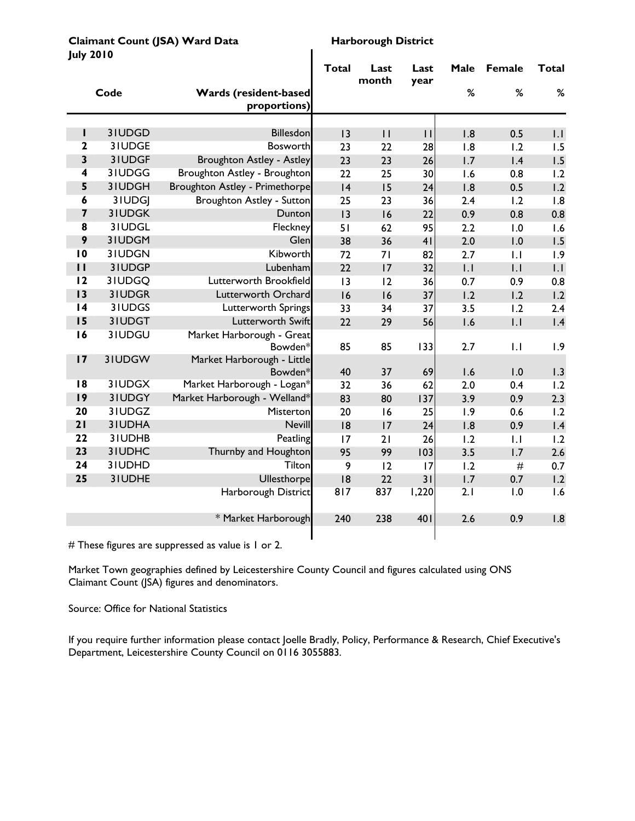**Claimant Count (JSA) Ward Data** Harborough District<br>
Harborough District<br>
Harborough District **July 2010** 

| July ZVIV               |               |                                       | <b>Total</b> | Last<br>month | Last<br>year   | Male | Female           | Total |
|-------------------------|---------------|---------------------------------------|--------------|---------------|----------------|------|------------------|-------|
|                         | Code          | Wards (resident-based<br>proportions) |              |               |                | %    | %                | $\%$  |
|                         |               |                                       |              |               |                |      |                  |       |
| п                       | 31UDGD        | <b>Billesdon</b>                      | 13           | $\mathbf{H}$  | $\mathbf{H}$   | 1.8  | 0.5              | .     |
| 2                       | 31UDGE        | <b>Bosworth</b>                       | 23           | 22            | 28             | 1.8  | 1.2              | 1.5   |
| 3                       | 31UDGF        | <b>Broughton Astley - Astley</b>      | 23           | 23            | 26             | 1.7  | 1.4              | 1.5   |
| 4                       | 31UDGG        | Broughton Astley - Broughton          | 22           | 25            | 30             | 1.6  | 0.8              | 1.2   |
| 5                       | 3IUDGH        | Broughton Astley - Primethorpe        | 4            | 15            | 24             | 1.8  | 0.5              | 1.2   |
| 6                       | 3IUDGJ        | Broughton Astley - Sutton             | 25           | 23            | 36             | 2.4  | 1.2              | 1.8   |
| $\overline{\mathbf{z}}$ | <b>3IUDGK</b> | Dunton                                | 13           | 16            | 22             | 0.9  | 0.8              | 0.8   |
| 8                       | 31UDGL        | Fleckney                              | 51           | 62            | 95             | 2.2  | 1.0              | 1.6   |
| 9                       | 31UDGM        | Glen                                  | 38           | 36            | 4 <sub>1</sub> | 2.0  | 1.0              | 1.5   |
| $\overline{10}$         | 31UDGN        | Kibworth                              | 72           | 71            | 82             | 2.7  | 1.1              | 1.9   |
| $\mathbf{H}$            | 31UDGP        | Lubenham                              | 22           | 17            | 32             | .    | $\overline{L}$   | 1.1   |
| 12                      | 3IUDGQ        | Lutterworth Brookfield                | 13           | 12            | 36             | 0.7  | 0.9              | 0.8   |
| 13                      | 31UDGR        | Lutterworth Orchard                   | 16           | 16            | 37             | 1.2  | 1.2              | 1.2   |
| $\overline{14}$         | 3IUDGS        | Lutterworth Springs                   | 33           | 34            | 37             | 3.5  | 1.2              | 2.4   |
| 15                      | 31UDGT        | Lutterworth Swift                     | 22           | 29            | 56             | 1.6  | $\overline{L}$   | 1.4   |
| 16                      | 31UDGU        | Market Harborough - Great             |              |               |                |      |                  |       |
|                         |               | Bowden*                               | 85           | 85            | 133            | 2.7  | $\overline{1}$ . | 1.9   |
| 17                      | 31UDGW        | Market Harborough - Little            |              |               |                |      |                  |       |
| 18                      | 31UDGX        | Bowden*                               | 40           | 37            | 69             | 1.6  | 1.0              | 1.3   |
|                         |               | Market Harborough - Logan*            | 32           | 36            | 62             | 2.0  | 0.4              | 1.2   |
| 9                       | 31UDGY        | Market Harborough - Welland*          | 83           | 80            | 137            | 3.9  | 0.9              | 2.3   |
| 20<br>21                | 31UDGZ        | Misterton                             | 20           | 16            | 25             | 1.9  | 0.6              | 1.2   |
|                         | 31UDHA        | <b>Nevill</b>                         | 8            | 17            | 24             | 1.8  | 0.9              | 1.4   |
| 22                      | 31UDHB        | Peatling                              | 17           | 21            | 26             | 1.2  | $  \cdot  $      | 1.2   |
| 23                      | 3IUDHC        | Thurnby and Houghton                  | 95           | 99            | 103            | 3.5  | 1.7              | 2.6   |
| 24                      | 31UDHD        | Tilton                                | 9            | 12            | 17             | 1.2  | $\#$             | 0.7   |
| 25                      | 3IUDHE        | Ullesthorpe                           | 8            | 22            | 31             | 1.7  | 0.7              | 1.2   |
|                         |               | Harborough District                   | 817          | 837           | 1,220          | 2.1  | 1.0              | 1.6   |
|                         |               | * Market Harborough                   | 240          | 238           | 401            | 2.6  | 0.9              | 1.8   |
|                         |               |                                       |              |               |                |      |                  |       |

# These figures are suppressed as value is 1 or 2.

Market Town geographies defined by Leicestershire County Council and figures calculated using ONS Claimant Count (JSA) figures and denominators.

Source: Office for National Statistics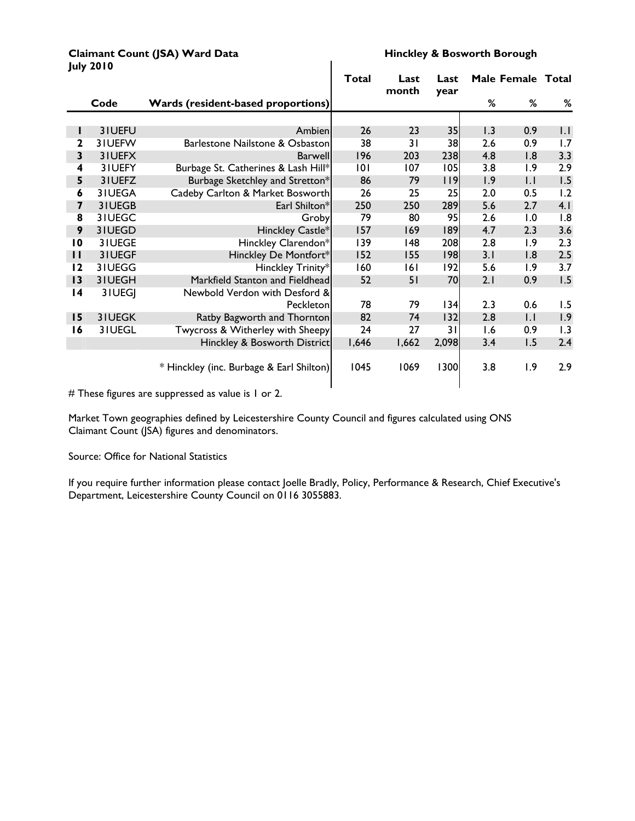#### **Claimant Count (JSA) Ward Data Hinckley & Bosworth Borough**<br> **Hinckley & Bosworth Borough July 2010**

|                         |          |                                          | <b>Total</b> | Last<br>month | Last<br>year |     | Male Female Total |             |
|-------------------------|----------|------------------------------------------|--------------|---------------|--------------|-----|-------------------|-------------|
|                         | Code     | Wards (resident-based proportions)       |              |               |              | %   | %                 | %           |
|                         |          |                                          |              |               |              |     |                   |             |
| L                       | 31UEFU   | Ambien                                   | 26           | 23            | 35           | 1.3 | 0.9               | $  \cdot  $ |
| 2                       | 31UEFW   | Barlestone Nailstone & Osbaston          | 38           | 31            | 38           | 2.6 | 0.9               | 1.7         |
| $\overline{\mathbf{3}}$ | 31UEFX   | Barwell                                  | 196          | 203           | 238          | 4.8 | 1.8               | 3.3         |
| 4                       | 3IUEFY   | Burbage St. Catherines & Lash Hill*      | 0            | 107           | 105          | 3.8 | 1.9               | 2.9         |
| 5                       | 31UEFZ   | Burbage Sketchley and Stretton*          | 86           | 79            | $ $   9      | 1.9 | $  \cdot  $       | 1.5         |
| 6                       | 31UEGA   | Cadeby Carlton & Market Bosworth         | 26           | 25            | 25           | 2.0 | 0.5               | 1.2         |
| 7                       | 31UEGB   | Earl Shilton*                            | 250          | 250           | 289          | 5.6 | 2.7               | 4.1         |
| 8                       | 31UEGC   | Groby                                    | 79           | 80            | 95           | 2.6 | 1.0               | 1.8         |
| 9                       | 31UEGD   | Hinckley Castle*                         | 157          | 169           | 189          | 4.7 | 2.3               | 3.6         |
| $\overline{10}$         | 3 I UEGE | Hinckley Clarendon*                      | 139          | 48            | 208          | 2.8 | 1.9               | 2.3         |
| $\mathbf{H}$            | 31UEGF   | Hinckley De Montfort*                    | 152          | 155           | 98           | 3.1 | 1.8               | 2.5         |
| 12                      | 31UEGG   | Hinckley Trinity*                        | 160          | 16 I          | 192          | 5.6 | 1.9               | 3.7         |
| 13                      | 31UEGH   | Markfield Stanton and Fieldhead          | 52           | 51            | 70           | 2.1 | 0.9               | 1.5         |
| $\overline{14}$         | 3 I UEGJ | Newbold Verdon with Desford &            |              |               |              |     |                   |             |
|                         |          | Peckleton                                | 78           | 79            | 34           | 2.3 | 0.6               | 1.5         |
| 15                      | 31UEGK   | Ratby Bagworth and Thornton              | 82           | 74            | 132          | 2.8 | $  \cdot  $       | 1.9         |
| 16                      | 31UEGL   | Twycross & Witherley with Sheepy         | 24           | 27            | 31           | 1.6 | 0.9               | 1.3         |
|                         |          | Hinckley & Bosworth District             | 1,646        | 1,662         | 2,098        | 3.4 | 1.5               | 2.4         |
|                         |          | * Hinckley (inc. Burbage & Earl Shilton) | 1045         | 1069          | 1300         | 3.8 | 1.9               | 2.9         |

# These figures are suppressed as value is 1 or 2.

Market Town geographies defined by Leicestershire County Council and figures calculated using ONS Claimant Count (JSA) figures and denominators.

Source: Office for National Statistics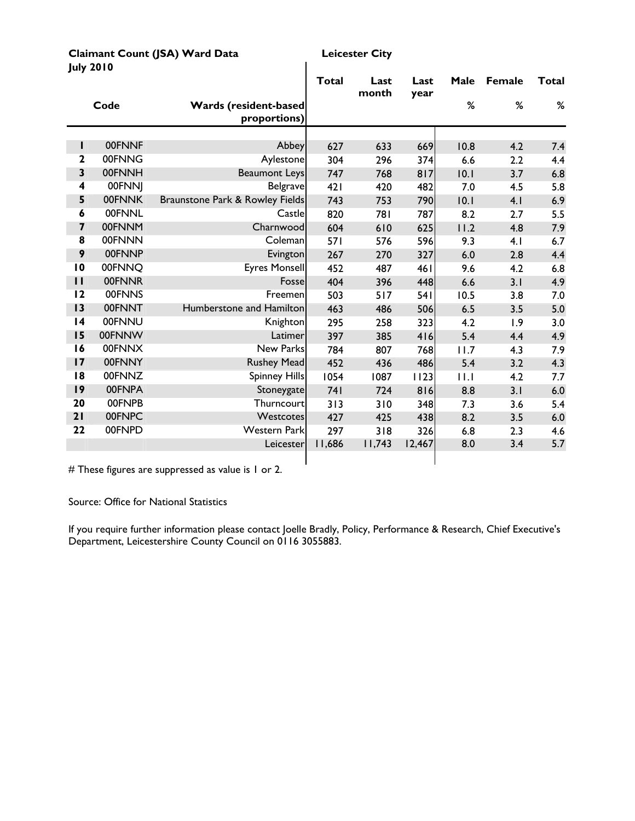| <b>July 2010</b>        |                  |                                              |              |               |              |      |        |       |
|-------------------------|------------------|----------------------------------------------|--------------|---------------|--------------|------|--------|-------|
|                         |                  |                                              | <b>Total</b> | Last<br>month | Last<br>year | Male | Female | Total |
|                         | Code             | <b>Wards (resident-based</b><br>proportions) |              |               |              | %    | %      | $\%$  |
|                         |                  |                                              |              |               |              |      |        |       |
| I<br>$\mathbf{2}$       | 00FNNF<br>00FNNG | Abbey                                        | 627          | 633           | 669          | 10.8 | 4.2    | 7.4   |
| 3                       | 00FNNH           | Aylestone                                    | 304          | 296           | 374          | 6.6  | 2.2    | 4.4   |
|                         | 00FNNJ           | <b>Beaumont Leys</b><br><b>Belgrave</b>      | 747          | 768           | 817          | 10.1 | 3.7    | 6.8   |
| 4<br>5                  | 00FNNK           | Braunstone Park & Rowley Fields              | 421          | 420           | 482          | 7.0  | 4.5    | 5.8   |
| 6                       | 00FNNL           | Castle                                       | 743          | 753           | 790          | 10.1 | 4.1    | 6.9   |
| $\overline{\mathbf{z}}$ | 00FNNM           |                                              | 820          | 781           | 787          | 8.2  | 2.7    | 5.5   |
| 8                       | 00FNNN           | Charnwood<br>Coleman                         | 604          | 610           | 625          | 11.2 | 4.8    | 7.9   |
| 9                       | 00FNNP           |                                              | <b>571</b>   | 576           | 596          | 9.3  | 4.1    | 6.7   |
| 10                      | 00FNNQ           | Evington                                     | 267          | 270           | 327          | 6.0  | 2.8    | 4.4   |
| $\mathbf{H}$            | 00FNNR           | <b>Eyres Monsell</b>                         | 452          | 487           | <b>461</b>   | 9.6  | 4.2    | 6.8   |
|                         |                  | Fosse                                        | 404          | 396           | 448          | 6.6  | 3.1    | 4.9   |
| 12                      | 00FNNS           | Freemen                                      | 503          | 517           | 541          | 10.5 | 3.8    | 7.0   |
| 13                      | 00FNNT           | Humberstone and Hamilton                     | 463          | 486           | 506          | 6.5  | 3.5    | 5.0   |
| 4                       | 00FNNU           | Knighton                                     | 295          | 258           | 323          | 4.2  | 1.9    | 3.0   |
| 15                      | 00FNNW           | Latimer                                      | 397          | 385           | 416          | 5.4  | 4.4    | 4.9   |
| 16                      | 00FNNX           | New Parks                                    | 784          | 807           | 768          | 11.7 | 4.3    | 7.9   |
| 17                      | 00FNNY           | <b>Rushey Mead</b>                           | 452          | 436           | 486          | 5.4  | 3.2    | 4.3   |
| 8                       | 00FNNZ           | <b>Spinney Hills</b>                         | 1054         | 1087          | 1123         | 11.1 | 4.2    | 7.7   |
| 9                       | 00FNPA           | Stoneygate                                   | 74 I         | 724           | 816          | 8.8  | 3.1    | 6.0   |
| 20                      | 00FNPB           | Thurncourt                                   | 313          | 310           | 348          | 7.3  | 3.6    | 5.4   |
| 21                      | 00FNPC           | Westcotes                                    | 427          | 425           | 438          | 8.2  | 3.5    | 6.0   |
| 22                      | 00FNPD           | <b>Western Park</b>                          | 297          | 318           | 326          | 6.8  | 2.3    | 4.6   |
|                         |                  | Leicester                                    | 11,686       | 11,743        | 12,467       | 8.0  | 3.4    | 5.7   |
|                         |                  |                                              |              |               |              |      |        |       |

**Claimant Count (JSA) Ward Data Leicester City**

# These figures are suppressed as value is 1 or 2.

Source: Office for National Statistics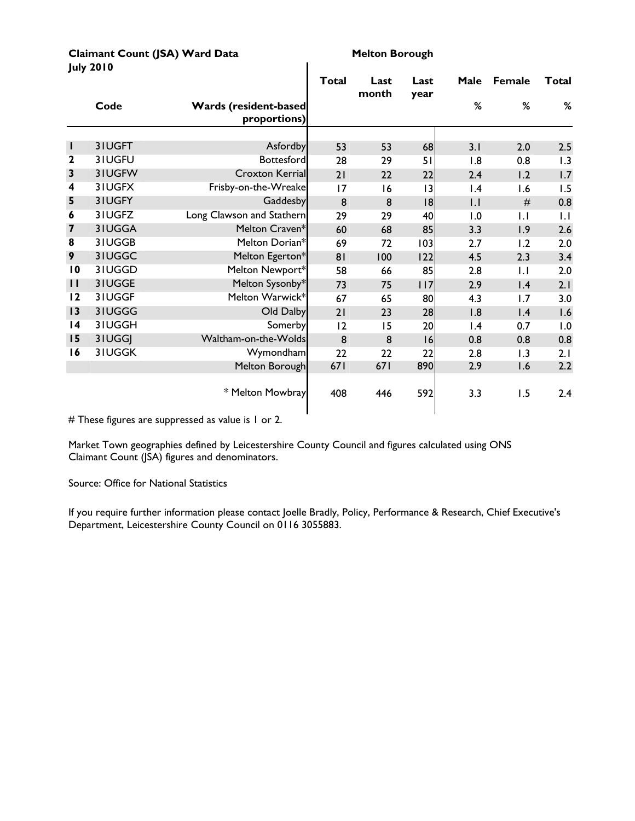|                  | <b>Claimant Count (JSA) Ward Data</b> |
|------------------|---------------------------------------|
| <b>July 2010</b> |                                       |

**Melton Borough** 

|                         |               |                                               | Total | Last<br>month | Last<br>year | Male            | <b>Female</b> | Total |
|-------------------------|---------------|-----------------------------------------------|-------|---------------|--------------|-----------------|---------------|-------|
|                         | Code          | <b>Wards (resident-based)</b><br>proportions) |       |               |              | %               | %             | %     |
|                         |               |                                               |       |               |              |                 |               |       |
| ı                       | 3IUGFT        | Asfordby                                      | 53    | 53            | 68           | 3.1             | 2.0           | 2.5   |
| $\mathbf 2$             | 31UGFU        | <b>Bottesford</b>                             | 28    | 29            | 51           | 1.8             | 0.8           | 1.3   |
| 3                       | 31UGFW        | <b>Croxton Kerrial</b>                        | 21    | 22            | 22           | 2.4             | 1.2           | 1.7   |
| 4                       | 31UGFX        | Frisby-on-the-Wreake                          | 17    | 16            | 3            | $\mathsf{I}$ .4 | 1.6           | 1.5   |
| 5                       | 31UGFY        | Gaddesby                                      | 8     | 8             | 8            | $  \cdot  $     | #             | 0.8   |
| 6                       | 31UGFZ        | Long Clawson and Stathern                     | 29    | 29            | 40           | 1.0             | $\mathsf{L}$  | 1.1   |
| $\overline{\mathbf{z}}$ | 3IUGGA        | Melton Craven*                                | 60    | 68            | 85           | 3.3             | 1.9           | 2.6   |
| 8                       | 3IUGGB        | Melton Dorian*                                | 69    | 72            | 103          | 2.7             | 1.2           | 2.0   |
| 9                       | 31UGGC        | Melton Egerton*                               | 81    | 100           | 122          | 4.5             | 2.3           | 3.4   |
| $\overline{10}$         | 3IUGGD        | Melton Newport*                               | 58    | 66            | 85           | 2.8             | $\mathsf{L}$  | 2.0   |
| $\mathbf{H}$            | 31UGGE        | Melton Sysonby*                               | 73    | 75            | 117          | 2.9             | 1.4           | 2.1   |
| 12                      | 31UGGF        | Melton Warwick*                               | 67    | 65            | 80           | 4.3             | 1.7           | 3.0   |
| 13                      | 31UGGG        | Old Dalby                                     | 21    | 23            | 28           | 1.8             | 1.4           | 1.6   |
| $\overline{14}$         | 31UGGH        | Somerby                                       | 12    | 15            | 20           | $\mathsf{I}$ .4 | 0.7           | 1.0   |
| 15                      | 31UGGJ        | Waltham-on-the-Wolds                          | 8     | 8             | 16           | 0.8             | 0.8           | 0.8   |
| 16                      | <b>3IUGGK</b> | Wymondham                                     | 22    | 22            | 22           | 2.8             | 1.3           | 2.1   |
|                         |               | Melton Borough                                | 671   | 671           | 890          | 2.9             | 1.6           | 2.2   |
|                         |               | * Melton Mowbray                              | 408   | 446           | 592          | 3.3             | 1.5           | 2.4   |

 $\overline{\phantom{a}}$ 

# These figures are suppressed as value is 1 or 2.

Market Town geographies defined by Leicestershire County Council and figures calculated using ONS Claimant Count (JSA) figures and denominators.

Source: Office for National Statistics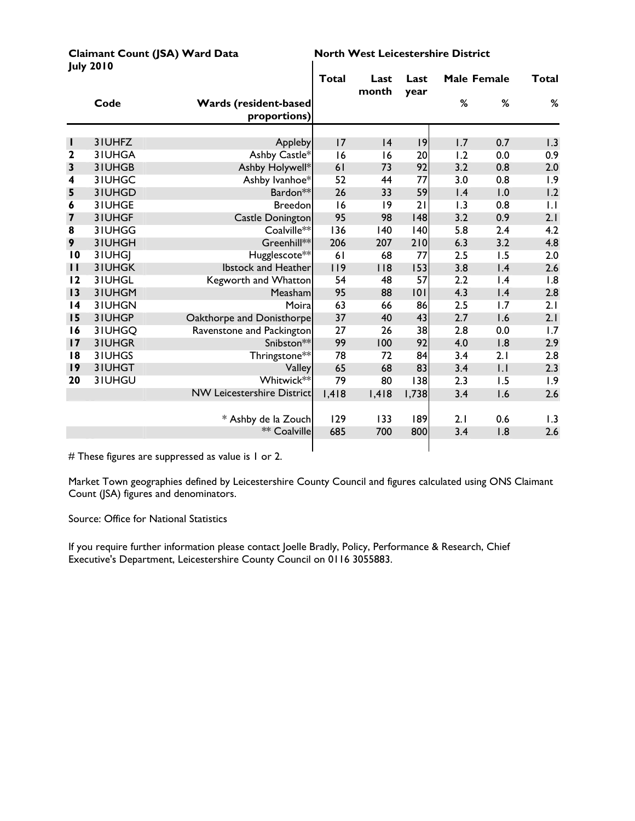|                 | <b>July 2010</b> |                                               |       |               |              |     |                    |       |
|-----------------|------------------|-----------------------------------------------|-------|---------------|--------------|-----|--------------------|-------|
|                 |                  |                                               | Total | Last<br>month | Last<br>year |     | <b>Male Female</b> | Total |
|                 | Code             | <b>Wards (resident-based)</b><br>proportions) |       |               |              | %   | %                  | %     |
|                 |                  |                                               |       |               |              |     |                    |       |
| н               | 3IUHFZ           | Appleby                                       | 17    | 4             | 9            | 1.7 | 0.7                | 1.3   |
| $\mathbf{2}$    | 3IUHGA           | Ashby Castle*                                 | 16    | 16            | 20           | 1.2 | 0.0                | 0.9   |
| $\mathbf{3}$    | 3IUHGB           | Ashby Holywell*                               | 61    | 73            | 92           | 3.2 | 0.8                | 2.0   |
| 4               | 3IUHGC           | Ashby Ivanhoe*                                | 52    | 44            | 77           | 3.0 | 0.8                | 1.9   |
| 5               | 3IUHGD           | Bardon**                                      | 26    | 33            | 59           | 1.4 | 1.0                | 1.2   |
| 6               | 31UHGE           | <b>Breedon</b>                                | 16    | 9             | 21           | 1.3 | 0.8                | 1.1   |
| 7               | 3IUHGF           | <b>Castle Donington</b>                       | 95    | 98            | 148          | 3.2 | 0.9                | 2.1   |
| 8               | 3IUHGG           | Coalville**                                   | 136   | 140           | 40           | 5.8 | 2.4                | 4.2   |
| 9               | 3IUHGH           | Greenhill**                                   | 206   | 207           | 210          | 6.3 | 3.2                | 4.8   |
| $\overline{10}$ | 3IUHGI           | Hugglescote**                                 | 61    | 68            | 77           | 2.5 | 1.5                | 2.0   |
| $\mathbf{H}$    | 3IUHGK           | <b>Ibstock and Heather</b>                    | 119   | $ $ $ $ 8     | 153          | 3.8 | 1.4                | 2.6   |
| 12              | 31UHGL           | Kegworth and Whatton                          | 54    | 48            | 57           | 2.2 | $\mathsf{I}$ .4    | 1.8   |
| 13              | 31UHGM           | Measham                                       | 95    | 88            | 101          | 4.3 | 1.4                | 2.8   |
| $\overline{14}$ | 3IUHGN           | Moira                                         | 63    | 66            | 86           | 2.5 | 1.7                | 2.1   |
| 15              | 3IUHGP           | Oakthorpe and Donisthorpe                     | 37    | 40            | 43           | 2.7 | 1.6                | 2.1   |
| 16              | 31UHGQ           | Ravenstone and Packington                     | 27    | 26            | 38           | 2.8 | 0.0                | 1.7   |
| 17              | 31UHGR           | Snibston**                                    | 99    | 100           | 92           | 4.0 | 1.8                | 2.9   |
| 18              | 3IUHGS           | Thringstone**                                 | 78    | 72            | 84           | 3.4 | 2.1                | 2.8   |
| 9               | 3IUHGT           | Valley                                        | 65    | 68            | 83           | 3.4 | .                  | 2.3   |
| 20              | 3IUHGU           | Whitwick**                                    | 79    | 80            | 138          | 2.3 | 1.5                | 1.9   |
|                 |                  | <b>NW Leicestershire District</b>             | 1,418 | 1,418         | 1,738        | 3.4 | 1.6                | 2.6   |
|                 |                  | * Ashby de la Zouch                           | 129   | 133           | 189          | 2.1 | 0.6                | 1.3   |
|                 |                  | ** Coalville                                  | 685   | 700           | 800          | 3.4 | 1.8                | 2.6   |
|                 |                  |                                               |       |               |              |     |                    |       |

Claimant Count (JSA) Ward Data **North West Leicestershire District** 

# These figures are suppressed as value is 1 or 2.

Market Town geographies defined by Leicestershire County Council and figures calculated using ONS Claimant Count (JSA) figures and denominators.

Source: Office for National Statistics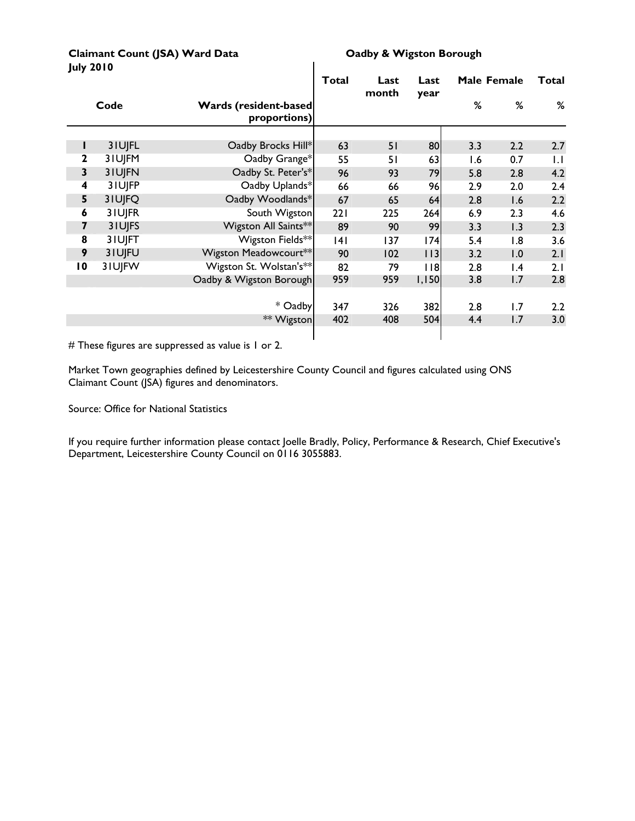Claimant Count (JSA) Ward Data **CLA CLAIM** Oadby & Wigston Borough **July 2010** 

|                 |        |                                               | <b>Total</b> | Last<br>month | Last<br>year |     | Male Female     | Total        |
|-----------------|--------|-----------------------------------------------|--------------|---------------|--------------|-----|-----------------|--------------|
|                 | Code   | <b>Wards (resident-based)</b><br>proportions) |              |               |              | ℅   | %               | %            |
|                 |        |                                               |              |               |              |     |                 |              |
|                 | 3IUJFL | Oadby Brocks Hill*                            | 63           | 51            | 80           | 3.3 | 2.2             | 2.7          |
| 2               | 3IUJFM | Oadby Grange*                                 | 55           | 51            | 63           | 1.6 | 0.7             | $\mathsf{L}$ |
| 3               | 31UJFN | Oadby St. Peter's*                            | 96           | 93            | 79           | 5.8 | 2.8             | 4.2          |
| 4               | 3IUJFP | Oadby Uplands*                                | 66           | 66            | 96           | 2.9 | 2.0             | 2.4          |
| 5               | 3IUJFQ | Oadby Woodlands*                              | 67           | 65            | 64           | 2.8 | 1.6             | 2.2          |
| 6               | 3IUJFR | South Wigston                                 | 221          | 225           | 264          | 6.9 | 2.3             | 4.6          |
| 7               | 31UJFS | Wigston All Saints**                          | 89           | 90            | 99           | 3.3 | 1.3             | 2.3          |
| 8               | 3IUJFT | Wigston Fields**                              | 4            | 137           | 74           | 5.4 | 1.8             | 3.6          |
| 9               | 3IUJFU | Wigston Meadowcourt**                         | 90           | 102           | $ $   3      | 3.2 | 1.0             | 2.1          |
| $\overline{10}$ | 3IUJFW | Wigston St. Wolstan's**                       | 82           | 79            | 118          | 2.8 | $\mathsf{I}$ .4 | 2.1          |
|                 |        | Oadby & Wigston Borough                       | 959          | 959           | 1,150        | 3.8 | 1.7             | 2.8          |
|                 |        |                                               |              |               |              |     |                 |              |
|                 |        | * Oadby                                       | 347          | 326           | 382          | 2.8 | 1.7             | 2.2          |
|                 |        | ** Wigston                                    | 402          | 408           | 504          | 4.4 | 1.7             | 3.0          |
|                 |        |                                               |              |               |              |     |                 |              |

 $\mathbf{I}$ 

# These figures are suppressed as value is 1 or 2.

Market Town geographies defined by Leicestershire County Council and figures calculated using ONS Claimant Count (JSA) figures and denominators.

Source: Office for National Statistics